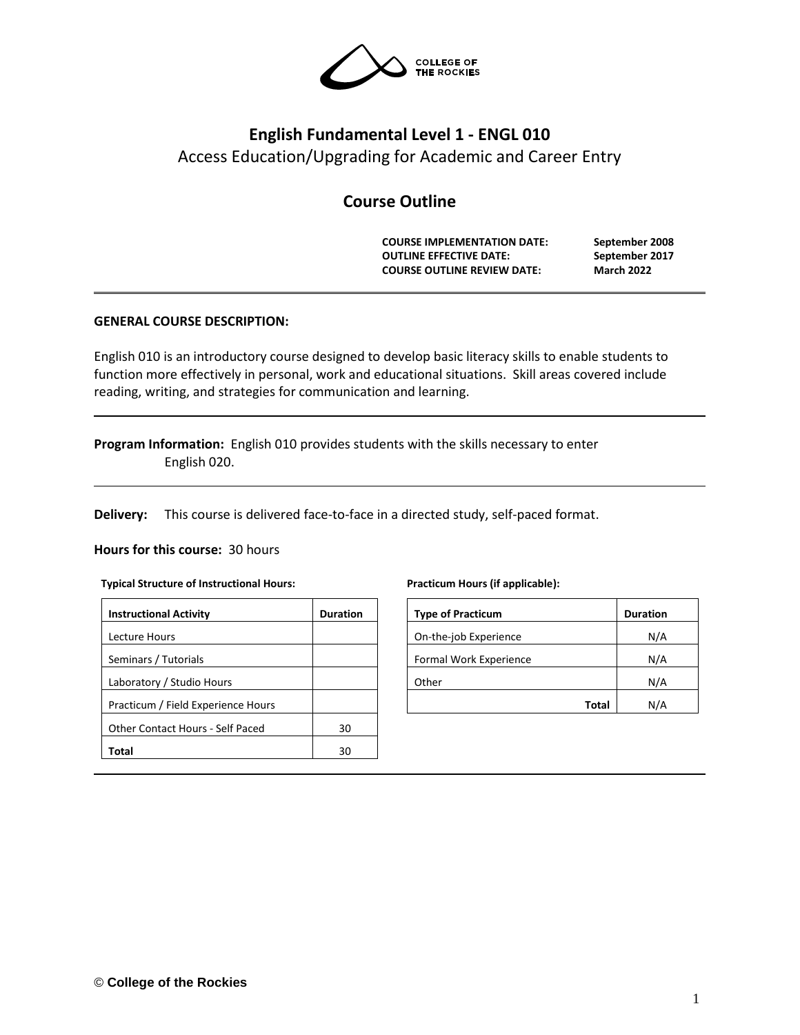

# **English Fundamental Level 1 - ENGL 010** Access Education/Upgrading for Academic and Career Entry

# **Course Outline**

**COURSE IMPLEMENTATION DATE: September 2008 OUTLINE EFFECTIVE DATE: September 2017 COURSE OUTLINE REVIEW DATE: March 2022**

# **GENERAL COURSE DESCRIPTION:**

English 010 is an introductory course designed to develop basic literacy skills to enable students to function more effectively in personal, work and educational situations. Skill areas covered include reading, writing, and strategies for communication and learning.

**Program Information:** English 010 provides students with the skills necessary to enter English 020.

**Delivery:** This course is delivered face-to-face in a directed study, self-paced format.

#### **Hours for this course:** 30 hours

#### **Typical Structure of Instructional Hours:**

| <b>Instructional Activity</b>      | <b>Duration</b> |
|------------------------------------|-----------------|
| Lecture Hours                      |                 |
| Seminars / Tutorials               |                 |
| Laboratory / Studio Hours          |                 |
| Practicum / Field Experience Hours |                 |
| Other Contact Hours - Self Paced   | 30              |
| Total                              | ٩N              |

#### **Practicum Hours (if applicable):**

| <b>Type of Practicum</b> | <b>Duration</b> |
|--------------------------|-----------------|
| On-the-job Experience    | N/A             |
| Formal Work Experience   | N/A             |
| Other                    | N/A             |
| Total                    | N/Δ             |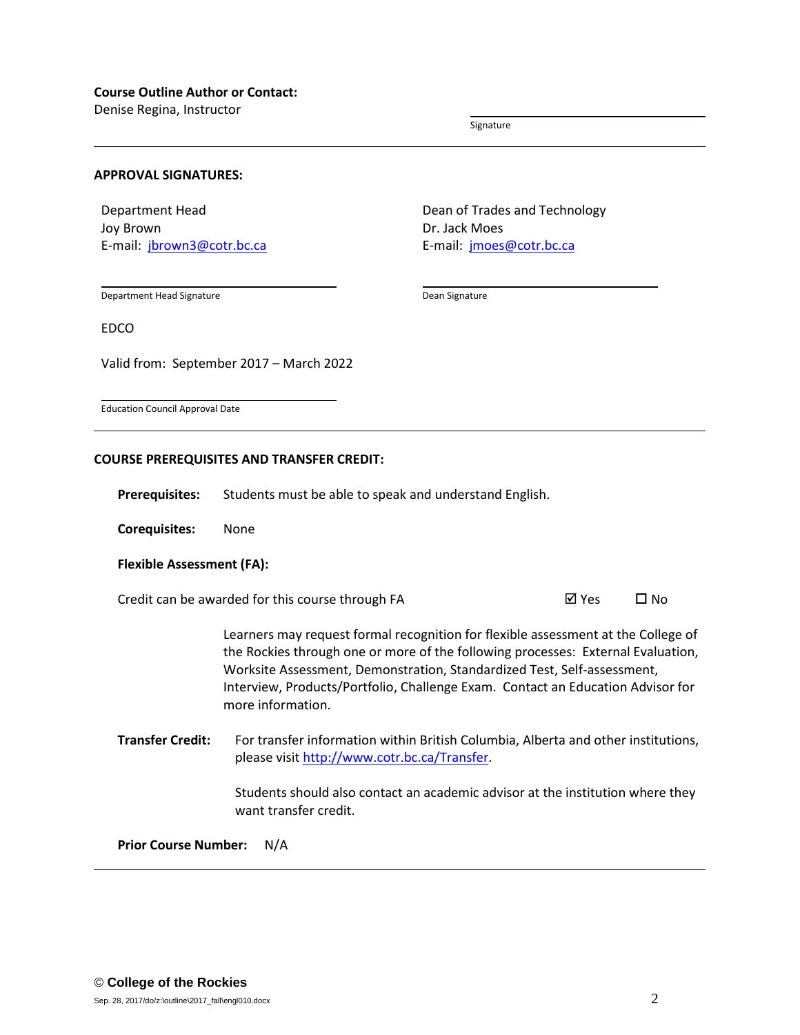Denise Regina, Instructor

Signature

#### **APPROVAL SIGNATURES:**

Department Head Joy Brown E-mail: [jbrown3@cotr.bc.ca](mailto:jbrown3@cotr.bc.ca) Dean of Trades and Technology Dr. Jack Moes E-mail: [jmoes@cotr.bc.ca](mailto:jmoes@cotr.bc.ca)

Department Head Signature

Dean Signature

EDCO

Valid from: September 2017 – March 2022

Education Council Approval Date

#### **COURSE PREREQUISITES AND TRANSFER CREDIT:**

**Prerequisites:** Students must be able to speak and understand English.

**Corequisites:** None

#### **Flexible Assessment (FA):**

Credit can be awarded for this course through FA  $\boxtimes$  Yes  $\Box$  No

Learners may request formal recognition for flexible assessment at the College of the Rockies through one or more of the following processes: External Evaluation, Worksite Assessment, Demonstration, Standardized Test, Self-assessment, Interview, Products/Portfolio, Challenge Exam. Contact an Education Advisor for more information.

**Transfer Credit:** For transfer information within British Columbia, Alberta and other institutions, please visit [http://www.cotr.bc.ca/Transfer.](http://www.cotr.bc.ca/Transfer)

> Students should also contact an academic advisor at the institution where they want transfer credit.

**Prior Course Number:** N/A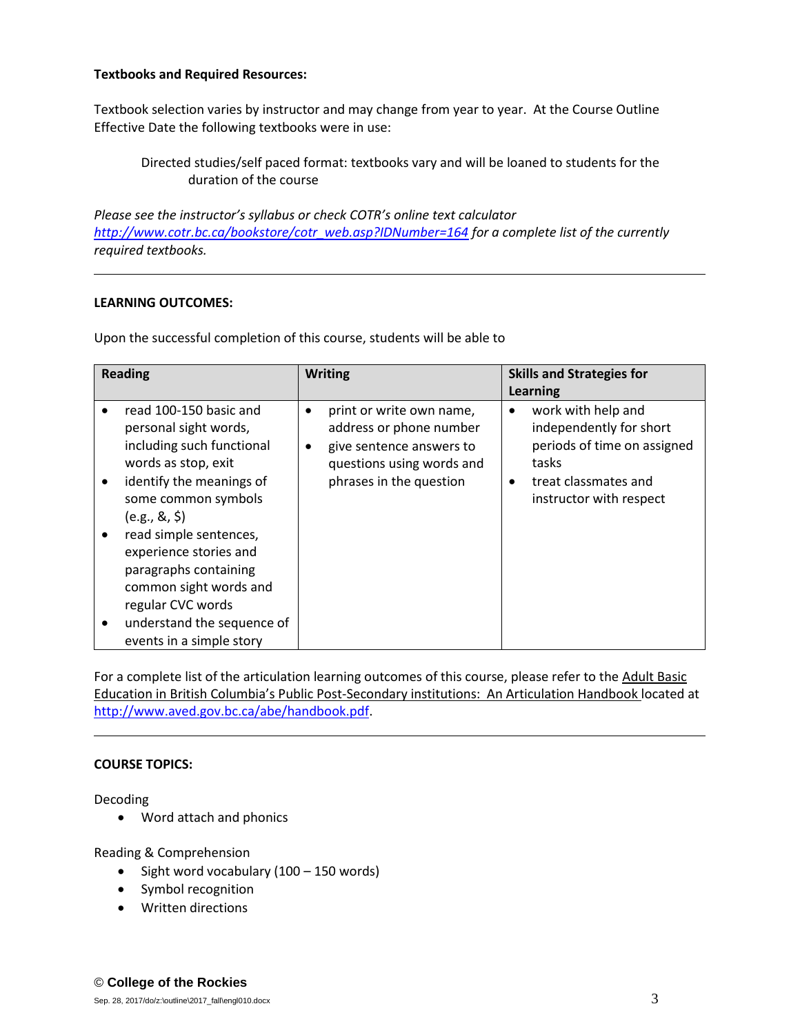## **Textbooks and Required Resources:**

Textbook selection varies by instructor and may change from year to year. At the Course Outline Effective Date the following textbooks were in use:

Directed studies/self paced format: textbooks vary and will be loaned to students for the duration of the course

*Please see the instructor's syllabus or check COTR's online text calculator [http://www.cotr.bc.ca/bookstore/cotr\\_web.asp?IDNumber=164](http://www.cotr.bc.ca/bookstore/cotr_web.asp?IDNumber=164) for a complete list of the currently required textbooks.*

## **LEARNING OUTCOMES:**

Upon the successful completion of this course, students will be able to

| <b>Reading</b>                                                                                                                                                                                                                                                                                                                                                         | <b>Writing</b>                                                                                                                               | <b>Skills and Strategies for</b>                                                                                                                      |
|------------------------------------------------------------------------------------------------------------------------------------------------------------------------------------------------------------------------------------------------------------------------------------------------------------------------------------------------------------------------|----------------------------------------------------------------------------------------------------------------------------------------------|-------------------------------------------------------------------------------------------------------------------------------------------------------|
|                                                                                                                                                                                                                                                                                                                                                                        |                                                                                                                                              | Learning                                                                                                                                              |
| read 100-150 basic and<br>personal sight words,<br>including such functional<br>words as stop, exit<br>identify the meanings of<br>some common symbols<br>(e.g., 8, 5)<br>read simple sentences,<br>٠<br>experience stories and<br>paragraphs containing<br>common sight words and<br>regular CVC words<br>understand the sequence of<br>٠<br>events in a simple story | print or write own name,<br>address or phone number<br>give sentence answers to<br>٠<br>questions using words and<br>phrases in the question | work with help and<br>$\bullet$<br>independently for short<br>periods of time on assigned<br>tasks<br>treat classmates and<br>instructor with respect |

For a complete list of the articulation learning outcomes of this course, please refer to the Adult Basic Education in British Columbia's Public Post-Secondary institutions: An Articulation Handbook located at [http://www.aved.gov.bc.ca/abe/handbook.pdf.](http://www.aved.gov.bc.ca/abe/handbook.pdf)

### **COURSE TOPICS:**

Decoding

• Word attach and phonics

Reading & Comprehension

- $\bullet$  Sight word vocabulary (100 150 words)
- Symbol recognition
- Written directions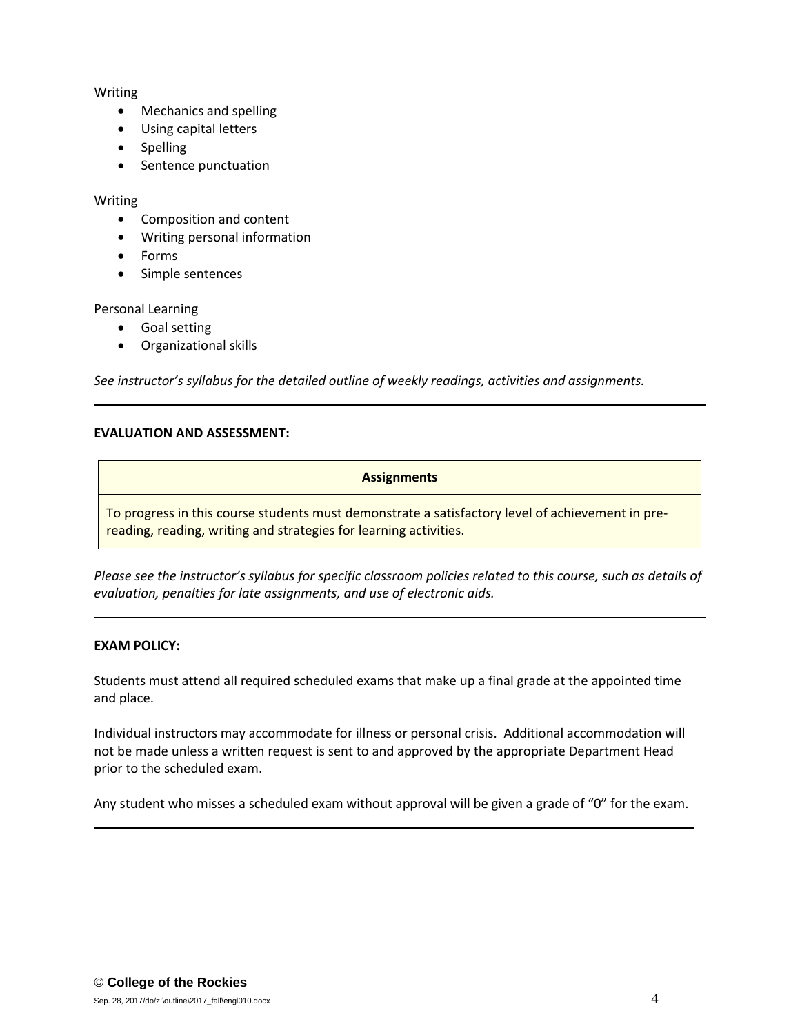## Writing

- Mechanics and spelling
- Using capital letters
- Spelling
- Sentence punctuation

## Writing

- Composition and content
- Writing personal information
- Forms
- Simple sentences

# Personal Learning

- Goal setting
- Organizational skills

*See instructor's syllabus for the detailed outline of weekly readings, activities and assignments.* 

# **EVALUATION AND ASSESSMENT:**

# **Assignments**

To progress in this course students must demonstrate a satisfactory level of achievement in prereading, reading, writing and strategies for learning activities.

*Please see the instructor's syllabus for specific classroom policies related to this course, such as details of evaluation, penalties for late assignments, and use of electronic aids.*

# **EXAM POLICY:**

Students must attend all required scheduled exams that make up a final grade at the appointed time and place.

Individual instructors may accommodate for illness or personal crisis. Additional accommodation will not be made unless a written request is sent to and approved by the appropriate Department Head prior to the scheduled exam.

Any student who misses a scheduled exam without approval will be given a grade of "0" for the exam.